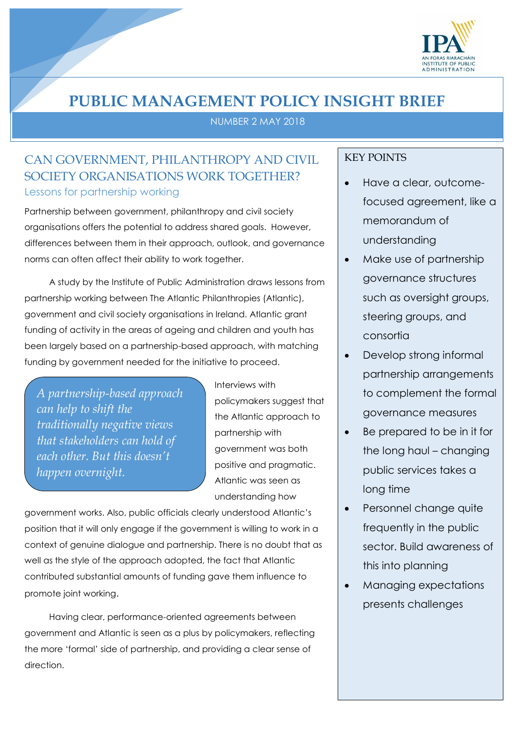

## **PUBLIC MANAGEMENT POLICY INSIGHT BRIEF**

NUMBER 2 MAY 2018

## CAN GOVERNMENT, PHILANTHROPY AND CIVIL SOCIETY ORGANISATIONS WORK TOGETHER? Lessons for partnership working

Partnership between government, philanthropy and civil society organisations offers the potential to address shared goals. However, differences between them in their approach, outlook, and governance norms can often affect their ability to work together.

A study by the Institute of Public Administration draws lessons from partnership working between The Atlantic Philanthropies (Atlantic), government and civil society organisations in Ireland. Atlantic grant funding of activity in the areas of ageing and children and youth has been largely based on a partnership-based approach, with matching funding by government needed for the initiative to proceed.

*A partnership-based approach can help to shift the traditionally negative views that stakeholders can hold of each other. But this doesn't happen overnight.*

Interviews with policymakers suggest that the Atlantic approach to partnership with government was both positive and pragmatic. Atlantic was seen as understanding how

government works. Also, public officials clearly understood Atlantic's position that it will only engage if the government is willing to work in a context of genuine dialogue and partnership. There is no doubt that as well as the style of the approach adopted, the fact that Atlantic contributed substantial amounts of funding gave them influence to promote joint working.

Having clear, performance-oriented agreements between government and Atlantic is seen as a plus by policymakers, reflecting the more 'formal' side of partnership, and providing a clear sense of direction.

## KEY POINTS

- Have a clear, outcomefocused agreement, like a memorandum of understanding
- Make use of partnership governance structures such as oversight groups, steering groups, and consortia
- Develop strong informal partnership arrangements to complement the formal governance measures
- Be prepared to be in it for the long haul – changing public services takes a long time
- Personnel change quite frequently in the public sector. Build awareness of this into planning
- Managing expectations presents challenges